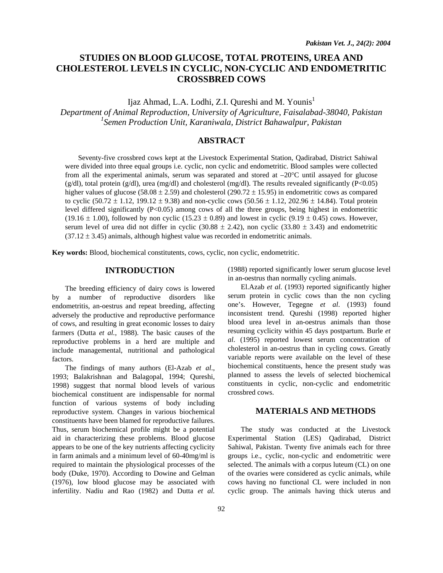# **STUDIES ON BLOOD GLUCOSE, TOTAL PROTEINS, UREA AND CHOLESTEROL LEVELS IN CYCLIC, NON-CYCLIC AND ENDOMETRITIC CROSSBRED COWS**

Ijaz Ahmad, L.A. Lodhi, Z.I. Qureshi and M. Younis<sup>1</sup>

*Department of Animal Reproduction, University of Agriculture, Faisalabad-38040, Pakistan 1 Semen Production Unit, Karaniwala, District Bahawalpur, Pakistan* 

# **ABSTRACT**

Seventy-five crossbred cows kept at the Livestock Experimental Station, Qadirabad, District Sahiwal were divided into three equal groups i.e. cyclic, non cyclic and endometritic. Blood samples were collected from all the experimental animals, serum was separated and stored at  $-20^{\circ}$ C until assayed for glucose  $(g/dl)$ , total protein  $(g/dl)$ , urea  $(mg/dl)$  and cholesterol  $(mg/dl)$ . The results revealed significantly (P<0.05) higher values of glucose (58.08  $\pm$  2.59) and cholesterol (290.72  $\pm$  15.95) in endometritic cows as compared to cyclic  $(50.72 \pm 1.12, 199.12 \pm 9.38)$  and non-cyclic cows  $(50.56 \pm 1.12, 202.96 \pm 14.84)$ . Total protein level differed significantly (P<0.05) among cows of all the three groups, being highest in endometritic  $(19.16 \pm 1.00)$ , followed by non cyclic  $(15.23 \pm 0.89)$  and lowest in cyclic  $(9.19 \pm 0.45)$  cows. However, serum level of urea did not differ in cyclic (30.88  $\pm$  2.42), non cyclic (33.80  $\pm$  3.43) and endometritic  $(37.12 \pm 3.45)$  animals, although highest value was recorded in endometritic animals.

**Key words:** Blood, biochemical constitutents, cows, cyclic, non cyclic, endometritic.

## **INTRODUCTION**

The breeding efficiency of dairy cows is lowered by a number of reproductive disorders like endometritis, an-oestrus and repeat breeding, affecting adversely the productive and reproductive performance of cows, and resulting in great economic losses to dairy farmers (Dutta *et al.*, 1988). The basic causes of the reproductive problems in a herd are multiple and include managemental, nutritional and pathological factors.

The findings of many authors (El-Azab *et al*., 1993; Balakrishnan and Balagopal, 1994; Qureshi, 1998) suggest that normal blood levels of various biochemical constituent are indispensable for normal function of various systems of body including reproductive system. Changes in various biochemical constituents have been blamed for reproductive failures. Thus, serum biochemical profile might be a potential aid in characterizing these problems. Blood glucose appears to be one of the key nutrients affecting cyclicity in farm animals and a minimum level of 60-40mg/ml is required to maintain the physiological processes of the body (Duke, 1970). According to Dowine and Gelman (1976), low blood glucose may be associated with infertility. Nadiu and Rao (1982) and Dutta *et al.*

(1988) reported significantly lower serum glucose level in an-oestrus than normally cycling animals.

El.Azab *et al*. (1993) reported significantly higher serum protein in cyclic cows than the non cycling one's. However, Tegegne *et al*. (1993) found inconsistent trend. Qureshi (1998) reported higher blood urea level in an-oestrus animals than those resuming cyclicity within 45 days postpartum. Burle *et al*. (1995) reported lowest serum concentration of cholesterol in an-oestrus than in cycling cows. Greatly variable reports were available on the level of these biochemical constituents, hence the present study was planned to assess the levels of selected biochemical constituents in cyclic, non-cyclic and endometritic crossbred cows.

#### **MATERIALS AND METHODS**

The study was conducted at the Livestock Experimental Station (LES) Qadirabad, District Sahiwal, Pakistan. Twenty five animals each for three groups i.e., cyclic, non-cyclic and endometritic were selected. The animals with a corpus luteum (CL) on one of the ovaries were considered as cyclic animals, while cows having no functional CL were included in non cyclic group. The animals having thick uterus and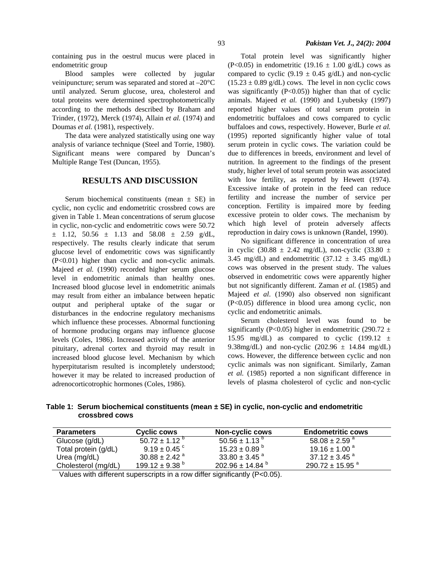containing pus in the oestrul mucus were placed in endometritic group

Blood samples were collected by jugular veinipuncture; serum was separated and stored at –20°C until analyzed. Serum glucose, urea, cholesterol and total proteins were determined spectrophotometrically according to the methods described by Braham and Trinder, (1972), Merck (1974), Allain *et al.* (1974) and Doumas *et al.* (1981), respectively.

The data were analyzed statistically using one way analysis of variance technique (Steel and Torrie, 1980). Significant means were compared by Duncan's Multiple Range Test (Duncan, 1955).

### **RESULTS AND DISCUSSION**

Serum biochemical constituents (mean  $\pm$  SE) in cyclic, non cyclic and endometritic crossbred cows are given in Table 1. Mean concentrations of serum glucose in cyclic, non-cyclic and endometritic cows were 50.72  $\pm$  1.12, 50.56  $\pm$  1.13 and 58.08  $\pm$  2.59 g/dL, respectively. The results clearly indicate that serum glucose level of endometritic cows was significantly (P<0.01) higher than cyclic and non-cyclic animals. Majeed *et al.* (1990) recorded higher serum glucose level in endometritic animals than healthy ones. Increased blood glucose level in endometritic animals may result from either an imbalance between hepatic output and peripheral uptake of the sugar or disturbances in the endocrine regulatory mechanisms which influence these processes. Abnormal functioning of hormone producing organs may influence glucose levels (Coles, 1986). Increased activity of the anterior pituitary, adrenal cortex and thyroid may result in increased blood glucose level. Mechanism by which hyperpitutarism resulted is incompletely understood; however it may be related to increased production of adrenocorticotrophic hormones (Coles, 1986).

Total protein level was significantly higher (P<0.05) in endometritic (19.16  $\pm$  1.00 g/dL) cows as compared to cyclic (9.19  $\pm$  0.45 g/dL) and non-cyclic  $(15.23 \pm 0.89 \text{ g/dL})$  cows. The level in non cyclic cows was significantly  $(P<0.05)$ ) higher than that of cyclic animals. Majeed *et al.* (1990) and Lyubetsky (1997) reported higher values of total serum protein in endometritic buffaloes and cows compared to cyclic buffaloes and cows, respectively. However, Burle *et al.* (1995) reported significantly higher value of total serum protein in cyclic cows. The variation could be due to differences in breeds, environment and level of nutrition. In agreement to the findings of the present study, higher level of total serum protein was associated with low fertility, as reported by Hewett (1974). Excessive intake of protein in the feed can reduce fertility and increase the number of service per conception. Fertility is impaired more by feeding excessive protein to older cows. The mechanism by which high level of protein adversely affects reproduction in dairy cows is unknown (Randel, 1990).

No significant difference in concentration of urea in cyclic (30.88  $\pm$  2.42 mg/dL), non-cyclic (33.80  $\pm$ 3.45 mg/dL) and endometritic  $(37.12 \pm 3.45 \text{ mg/dL})$ cows was observed in the present study. The values observed in endometritic cows were apparently higher but not significantly different. Zaman *et al.* (1985) and Majeed *et al*. (1990) also observed non significant (P<0.05) difference in blood urea among cyclic, non cyclic and endometritic animals.

Serum cholesterol level was found to be significantly (P<0.05) higher in endometritic (290.72  $\pm$ 15.95 mg/dL) as compared to cyclic  $(199.12 \pm$ 9.38mg/dL) and non-cyclic  $(202.96 \pm 14.84 \text{ mg/dL})$ cows. However, the difference between cyclic and non cyclic animals was non significant. Similarly, Zaman *et al.* (1985) reported a non significant difference in levels of plasma cholesterol of cyclic and non-cyclic

**Table 1: Serum biochemical constituents (mean ± SE) in cyclic, non-cyclic and endometritic crossbred cows** 

| <b>Parameters</b>    | Cyclic cows                    | <b>Non-cyclic cows</b>          | <b>Endometritic cows</b>        |
|----------------------|--------------------------------|---------------------------------|---------------------------------|
| Glucose (g/dL)       | $50.72 \pm 1.12$ <sup>b</sup>  | $50.56 \pm 1.13^{b}$            | 58.08 $\pm$ 2.59 $^{\circ}$     |
| Total protein (g/dL) | $9.19 \pm 0.45$ $^{\circ}$     | $15.23 \pm 0.89$ $^{\circ}$     | $19.16 \pm 1.00^{\text{ a}}$    |
| Urea (mg/dL)         | $30.88 \pm 2.42$ <sup>a</sup>  | 33.80 $\pm$ 3.45 $^{a}$         | $37.12 \pm 3.45$ <sup>a</sup>   |
| Cholesterol (mg/dL)  | $199.12 \pm 9.38$ <sup>b</sup> | $202.96 \pm 14.84$ <sup>b</sup> | $290.72 \pm 15.95$ <sup>a</sup> |

Values with different superscripts in a row differ significantly (P<0.05).